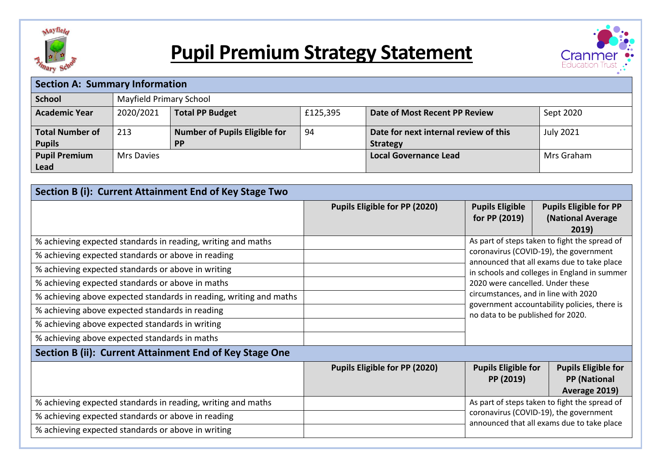

# **Pupil Premium Strategy Statement**



| <b>Section A: Summary Information</b> |                         |                                      |          |                                       |                  |
|---------------------------------------|-------------------------|--------------------------------------|----------|---------------------------------------|------------------|
| <b>School</b>                         | Mayfield Primary School |                                      |          |                                       |                  |
| <b>Academic Year</b>                  | 2020/2021               | <b>Total PP Budget</b>               | £125,395 | Date of Most Recent PP Review         | Sept 2020        |
| <b>Total Number of</b>                | 213                     | <b>Number of Pupils Eligible for</b> | 94       | Date for next internal review of this | <b>July 2021</b> |
| <b>Pupils</b>                         |                         | <b>PP</b>                            |          | <b>Strategy</b>                       |                  |
| <b>Pupil Premium</b>                  | <b>Mrs Davies</b>       |                                      |          | <b>Local Governance Lead</b>          | Mrs Graham       |
| Lead                                  |                         |                                      |          |                                       |                  |

| Section B (i): Current Attainment End of Key Stage Two                                                                 |                               |                                                                                                                                                                                                                                                                                                       |                                                                    |  |
|------------------------------------------------------------------------------------------------------------------------|-------------------------------|-------------------------------------------------------------------------------------------------------------------------------------------------------------------------------------------------------------------------------------------------------------------------------------------------------|--------------------------------------------------------------------|--|
|                                                                                                                        | Pupils Eligible for PP (2020) | <b>Pupils Eligible</b><br>for PP (2019)                                                                                                                                                                                                                                                               | <b>Pupils Eligible for PP</b><br>(National Average<br>2019)        |  |
| % achieving expected standards in reading, writing and maths                                                           |                               |                                                                                                                                                                                                                                                                                                       | As part of steps taken to fight the spread of                      |  |
| % achieving expected standards or above in reading<br>% achieving expected standards or above in writing               |                               | coronavirus (COVID-19), the government<br>announced that all exams due to take place<br>in schools and colleges in England in summer<br>2020 were cancelled. Under these<br>circumstances, and in line with 2020<br>government accountability policies, there is<br>no data to be published for 2020. |                                                                    |  |
| % achieving expected standards or above in maths<br>% achieving above expected standards in reading, writing and maths |                               |                                                                                                                                                                                                                                                                                                       |                                                                    |  |
| % achieving above expected standards in reading                                                                        |                               |                                                                                                                                                                                                                                                                                                       |                                                                    |  |
| % achieving above expected standards in writing<br>% achieving above expected standards in maths                       |                               |                                                                                                                                                                                                                                                                                                       |                                                                    |  |
| Section B (ii): Current Attainment End of Key Stage One                                                                |                               |                                                                                                                                                                                                                                                                                                       |                                                                    |  |
|                                                                                                                        | Pupils Eligible for PP (2020) | <b>Pupils Eligible for</b><br>PP (2019)                                                                                                                                                                                                                                                               | <b>Pupils Eligible for</b><br><b>PP</b> (National<br>Average 2019) |  |
| % achieving expected standards in reading, writing and maths                                                           |                               |                                                                                                                                                                                                                                                                                                       | As part of steps taken to fight the spread of                      |  |
| % achieving expected standards or above in reading<br>% achieving expected standards or above in writing               |                               | coronavirus (COVID-19), the government<br>announced that all exams due to take place                                                                                                                                                                                                                  |                                                                    |  |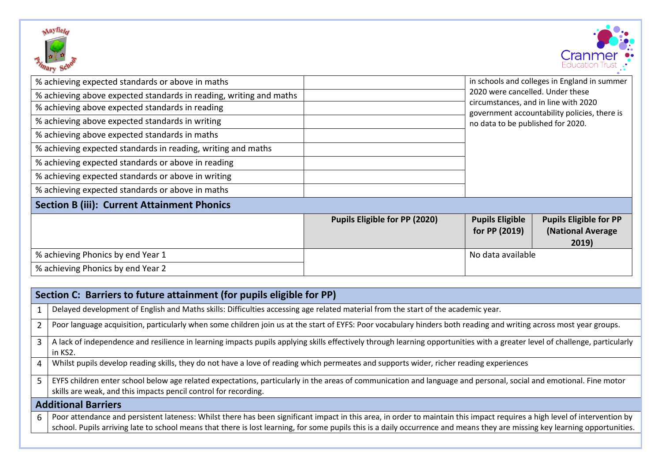



| % achieving expected standards or above in maths<br>% achieving above expected standards in reading, writing and maths<br>% achieving above expected standards in reading<br>% achieving above expected standards in writing<br>% achieving above expected standards in maths<br>% achieving expected standards in reading, writing and maths |                               | in schools and colleges in England in summer<br>2020 were cancelled. Under these<br>circumstances, and in line with 2020<br>government accountability policies, there is<br>no data to be published for 2020. |                                                             |
|-----------------------------------------------------------------------------------------------------------------------------------------------------------------------------------------------------------------------------------------------------------------------------------------------------------------------------------------------|-------------------------------|---------------------------------------------------------------------------------------------------------------------------------------------------------------------------------------------------------------|-------------------------------------------------------------|
| % achieving expected standards or above in reading<br>% achieving expected standards or above in writing                                                                                                                                                                                                                                      |                               |                                                                                                                                                                                                               |                                                             |
| % achieving expected standards or above in maths                                                                                                                                                                                                                                                                                              |                               |                                                                                                                                                                                                               |                                                             |
| <b>Section B (iii): Current Attainment Phonics</b>                                                                                                                                                                                                                                                                                            |                               |                                                                                                                                                                                                               |                                                             |
|                                                                                                                                                                                                                                                                                                                                               | Pupils Eligible for PP (2020) | <b>Pupils Eligible</b><br>for PP (2019)                                                                                                                                                                       | <b>Pupils Eligible for PP</b><br>(National Average<br>2019) |
| % achieving Phonics by end Year 1                                                                                                                                                                                                                                                                                                             |                               | No data available                                                                                                                                                                                             |                                                             |
| % achieving Phonics by end Year 2                                                                                                                                                                                                                                                                                                             |                               |                                                                                                                                                                                                               |                                                             |

|              | Section C: Barriers to future attainment (for pupils eligible for PP)                                                                                                                                                                                                                                                                                    |
|--------------|----------------------------------------------------------------------------------------------------------------------------------------------------------------------------------------------------------------------------------------------------------------------------------------------------------------------------------------------------------|
|              | Delayed development of English and Maths skills: Difficulties accessing age related material from the start of the academic year.                                                                                                                                                                                                                        |
|              | Poor language acquisition, particularly when some children join us at the start of EYFS: Poor vocabulary hinders both reading and writing across most year groups.                                                                                                                                                                                       |
| $\mathbf{3}$ | A lack of independence and resilience in learning impacts pupils applying skills effectively through learning opportunities with a greater level of challenge, particularly<br>in KS2.                                                                                                                                                                   |
| 4            | Whilst pupils develop reading skills, they do not have a love of reading which permeates and supports wider, richer reading experiences                                                                                                                                                                                                                  |
|              | EYFS children enter school below age related expectations, particularly in the areas of communication and language and personal, social and emotional. Fine motor<br>skills are weak, and this impacts pencil control for recording.                                                                                                                     |
|              | <b>Additional Barriers</b>                                                                                                                                                                                                                                                                                                                               |
| 6            | Poor attendance and persistent lateness: Whilst there has been significant impact in this area, in order to maintain this impact requires a high level of intervention by<br>school. Pupils arriving late to school means that there is lost learning, for some pupils this is a daily occurrence and means they are missing key learning opportunities. |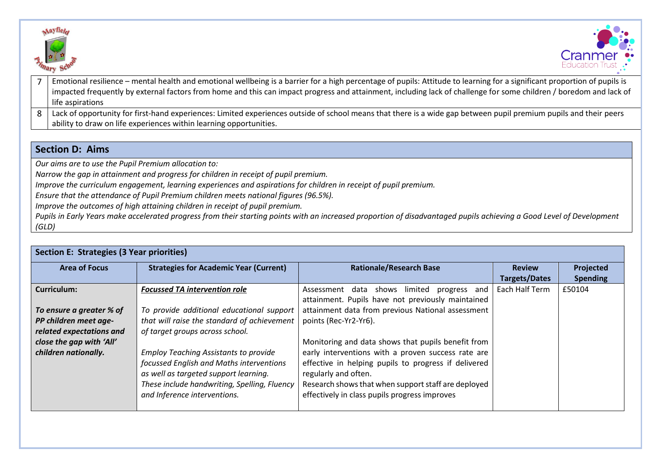



- 7 Emotional resilience mental health and emotional wellbeing is a barrier for a high percentage of pupils: Attitude to learning for a significant proportion of pupils is impacted frequently by external factors from home and this can impact progress and attainment, including lack of challenge for some children / boredom and lack of life aspirations
- $8 \mid$  Lack of opportunity for first-hand experiences: Limited experiences outside of school means that there is a wide gap between pupil premium pupils and their peers ability to draw on life experiences within learning opportunities.

### **Section D: Aims**

*Our aims are to use the Pupil Premium allocation to:*

*Narrow the gap in attainment and progress for children in receipt of pupil premium.* 

*Improve the curriculum engagement, learning experiences and aspirations for children in receipt of pupil premium.* 

*Ensure that the attendance of Pupil Premium children meets national figures (96.5%).*

*Improve the outcomes of high attaining children in receipt of pupil premium.* 

*Pupils in Early Years make accelerated progress from their starting points with an increased proportion of disadvantaged pupils achieving a Good Level of Development (GLD)*

| <b>Section E: Strategies (3 Year priorities)</b> |                                               |                                                      |                      |                 |  |
|--------------------------------------------------|-----------------------------------------------|------------------------------------------------------|----------------------|-----------------|--|
| <b>Area of Focus</b>                             | <b>Strategies for Academic Year (Current)</b> | <b>Rationale/Research Base</b>                       | <b>Review</b>        | Projected       |  |
|                                                  |                                               |                                                      | <b>Targets/Dates</b> | <b>Spending</b> |  |
| <b>Curriculum:</b>                               | <b>Focussed TA intervention role</b>          | Assessment data shows<br>limited<br>progress and     | Each Half Term       | £50104          |  |
|                                                  |                                               | attainment. Pupils have not previously maintained    |                      |                 |  |
| To ensure a greater % of                         | To provide additional educational support     | attainment data from previous National assessment    |                      |                 |  |
| PP children meet age-                            | that will raise the standard of achievement   | points (Rec-Yr2-Yr6).                                |                      |                 |  |
| related expectations and                         | of target groups across school.               |                                                      |                      |                 |  |
| close the gap with 'All'                         |                                               | Monitoring and data shows that pupils benefit from   |                      |                 |  |
| children nationally.                             | <b>Employ Teaching Assistants to provide</b>  | early interventions with a proven success rate are   |                      |                 |  |
|                                                  | focussed English and Maths interventions      | effective in helping pupils to progress if delivered |                      |                 |  |
|                                                  | as well as targeted support learning.         | regularly and often.                                 |                      |                 |  |
|                                                  | These include handwriting, Spelling, Fluency  | Research shows that when support staff are deployed  |                      |                 |  |
|                                                  | and Inference interventions.                  | effectively in class pupils progress improves        |                      |                 |  |
|                                                  |                                               |                                                      |                      |                 |  |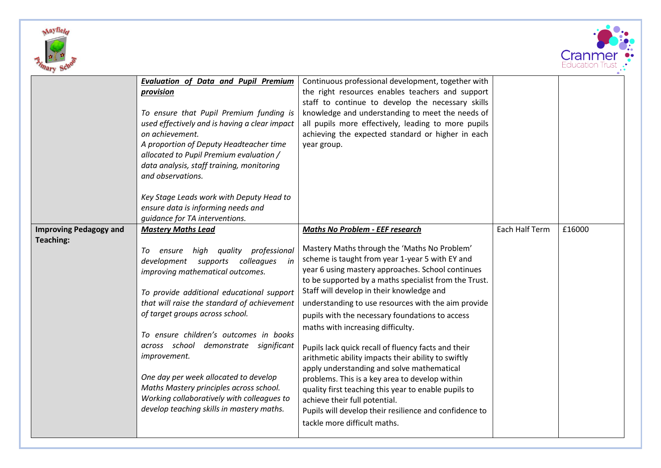



|                                                   | <b>Evaluation of Data and Pupil Premium</b><br>provision<br>To ensure that Pupil Premium funding is<br>used effectively and is having a clear impact<br>on achievement.<br>A proportion of Deputy Headteacher time<br>allocated to Pupil Premium evaluation /<br>data analysis, staff training, monitoring<br>and observations.                                                                                                                                                                                                                                            | Continuous professional development, together with<br>the right resources enables teachers and support<br>staff to continue to develop the necessary skills<br>knowledge and understanding to meet the needs of<br>all pupils more effectively, leading to more pupils<br>achieving the expected standard or higher in each<br>year group.                                                                                                                                                                                                                                                                                                                                                                                                                                                                                                           |                |        |
|---------------------------------------------------|----------------------------------------------------------------------------------------------------------------------------------------------------------------------------------------------------------------------------------------------------------------------------------------------------------------------------------------------------------------------------------------------------------------------------------------------------------------------------------------------------------------------------------------------------------------------------|------------------------------------------------------------------------------------------------------------------------------------------------------------------------------------------------------------------------------------------------------------------------------------------------------------------------------------------------------------------------------------------------------------------------------------------------------------------------------------------------------------------------------------------------------------------------------------------------------------------------------------------------------------------------------------------------------------------------------------------------------------------------------------------------------------------------------------------------------|----------------|--------|
|                                                   | Key Stage Leads work with Deputy Head to<br>ensure data is informing needs and<br>guidance for TA interventions.                                                                                                                                                                                                                                                                                                                                                                                                                                                           |                                                                                                                                                                                                                                                                                                                                                                                                                                                                                                                                                                                                                                                                                                                                                                                                                                                      |                |        |
| <b>Improving Pedagogy and</b><br><b>Teaching:</b> | <b>Mastery Maths Lead</b><br>high quality professional<br>To<br>ensure<br>development supports<br>colleagues<br>in<br>improving mathematical outcomes.<br>To provide additional educational support<br>that will raise the standard of achievement<br>of target groups across school.<br>To ensure children's outcomes in books<br>across school demonstrate<br>significant<br>improvement.<br>One day per week allocated to develop<br>Maths Mastery principles across school.<br>Working collaboratively with colleagues to<br>develop teaching skills in mastery maths. | <b>Maths No Problem - EEF research</b><br>Mastery Maths through the 'Maths No Problem'<br>scheme is taught from year 1-year 5 with EY and<br>year 6 using mastery approaches. School continues<br>to be supported by a maths specialist from the Trust.<br>Staff will develop in their knowledge and<br>understanding to use resources with the aim provide<br>pupils with the necessary foundations to access<br>maths with increasing difficulty.<br>Pupils lack quick recall of fluency facts and their<br>arithmetic ability impacts their ability to swiftly<br>apply understanding and solve mathematical<br>problems. This is a key area to develop within<br>quality first teaching this year to enable pupils to<br>achieve their full potential.<br>Pupils will develop their resilience and confidence to<br>tackle more difficult maths. | Each Half Term | £16000 |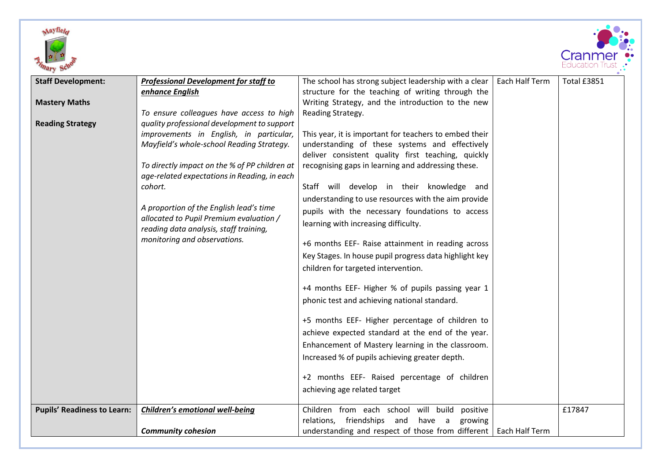



| <b>Staff Development:</b>          | <b>Professional Development for staff to</b>                                                  | The school has strong subject leadership with a clear              | Each Half Term | Total £3851 |
|------------------------------------|-----------------------------------------------------------------------------------------------|--------------------------------------------------------------------|----------------|-------------|
|                                    | enhance English                                                                               | structure for the teaching of writing through the                  |                |             |
| <b>Mastery Maths</b>               |                                                                                               | Writing Strategy, and the introduction to the new                  |                |             |
|                                    | To ensure colleagues have access to high                                                      | Reading Strategy.                                                  |                |             |
| <b>Reading Strategy</b>            | quality professional development to support                                                   |                                                                    |                |             |
|                                    | improvements in English, in particular,                                                       | This year, it is important for teachers to embed their             |                |             |
|                                    | Mayfield's whole-school Reading Strategy.                                                     | understanding of these systems and effectively                     |                |             |
|                                    |                                                                                               | deliver consistent quality first teaching, quickly                 |                |             |
|                                    | To directly impact on the % of PP children at<br>age-related expectations in Reading, in each | recognising gaps in learning and addressing these.                 |                |             |
|                                    | cohort.                                                                                       | Staff will develop in their knowledge and                          |                |             |
|                                    |                                                                                               | understanding to use resources with the aim provide                |                |             |
|                                    | A proportion of the English lead's time                                                       | pupils with the necessary foundations to access                    |                |             |
|                                    | allocated to Pupil Premium evaluation /<br>reading data analysis, staff training,             | learning with increasing difficulty.                               |                |             |
|                                    | monitoring and observations.                                                                  | +6 months EEF- Raise attainment in reading across                  |                |             |
|                                    |                                                                                               | Key Stages. In house pupil progress data highlight key             |                |             |
|                                    |                                                                                               | children for targeted intervention.                                |                |             |
|                                    |                                                                                               |                                                                    |                |             |
|                                    |                                                                                               | +4 months EEF- Higher % of pupils passing year 1                   |                |             |
|                                    |                                                                                               | phonic test and achieving national standard.                       |                |             |
|                                    |                                                                                               | +5 months EEF- Higher percentage of children to                    |                |             |
|                                    |                                                                                               | achieve expected standard at the end of the year.                  |                |             |
|                                    |                                                                                               | Enhancement of Mastery learning in the classroom.                  |                |             |
|                                    |                                                                                               | Increased % of pupils achieving greater depth.                     |                |             |
|                                    |                                                                                               | +2 months EEF- Raised percentage of children                       |                |             |
|                                    |                                                                                               | achieving age related target                                       |                |             |
| <b>Pupils' Readiness to Learn:</b> | <b>Children's emotional well-being</b>                                                        | Children from each school will build<br>positive                   |                | £17847      |
|                                    |                                                                                               | friendships and<br>relations,<br>have a<br>growing                 |                |             |
|                                    | <b>Community cohesion</b>                                                                     | understanding and respect of those from different   Each Half Term |                |             |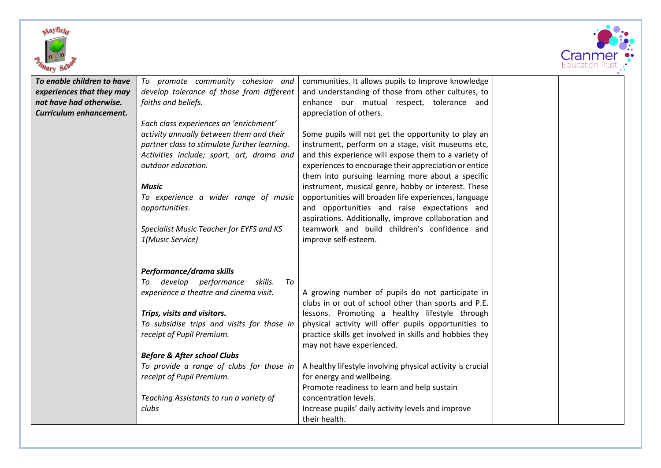



| To enable children to have | To promote community cohesion and                                | communities. It allows pupils to Improve knowledge         |  |
|----------------------------|------------------------------------------------------------------|------------------------------------------------------------|--|
| experiences that they may  | develop tolerance of those from different                        | and understanding of those from other cultures, to         |  |
| not have had otherwise.    | faiths and beliefs.                                              | enhance our mutual respect, tolerance and                  |  |
| Curriculum enhancement.    |                                                                  | appreciation of others.                                    |  |
|                            | Each class experiences an 'enrichment'                           |                                                            |  |
|                            | activity annually between them and their                         | Some pupils will not get the opportunity to play an        |  |
|                            | partner class to stimulate further learning.                     | instrument, perform on a stage, visit museums etc,         |  |
|                            | Activities include; sport, art, drama and                        | and this experience will expose them to a variety of       |  |
|                            | outdoor education.                                               | experiences to encourage their appreciation or entice      |  |
|                            |                                                                  | them into pursuing learning more about a specific          |  |
|                            | <b>Music</b>                                                     | instrument, musical genre, hobby or interest. These        |  |
|                            | To experience a wider range of music                             | opportunities will broaden life experiences, language      |  |
|                            | opportunities.                                                   | and opportunities and raise expectations and               |  |
|                            |                                                                  | aspirations. Additionally, improve collaboration and       |  |
|                            | Specialist Music Teacher for EYFS and KS                         | teamwork and build children's confidence and               |  |
|                            | 1(Music Service)                                                 | improve self-esteem.                                       |  |
|                            |                                                                  |                                                            |  |
|                            |                                                                  |                                                            |  |
|                            | Performance/drama skills<br>develop performance<br>skills.<br>To |                                                            |  |
|                            | To<br>experience a theatre and cinema visit.                     | A growing number of pupils do not participate in           |  |
|                            |                                                                  | clubs in or out of school other than sports and P.E.       |  |
|                            | Trips, visits and visitors.                                      | lessons. Promoting a healthy lifestyle through             |  |
|                            | To subsidise trips and visits for those in                       | physical activity will offer pupils opportunities to       |  |
|                            | receipt of Pupil Premium.                                        | practice skills get involved in skills and hobbies they    |  |
|                            |                                                                  | may not have experienced.                                  |  |
|                            | <b>Before &amp; After school Clubs</b>                           |                                                            |  |
|                            | To provide a range of clubs for those in                         | A healthy lifestyle involving physical activity is crucial |  |
|                            | receipt of Pupil Premium.                                        | for energy and wellbeing.                                  |  |
|                            |                                                                  | Promote readiness to learn and help sustain                |  |
|                            | Teaching Assistants to run a variety of                          | concentration levels.                                      |  |
|                            | clubs                                                            | Increase pupils' daily activity levels and improve         |  |
|                            |                                                                  | their health.                                              |  |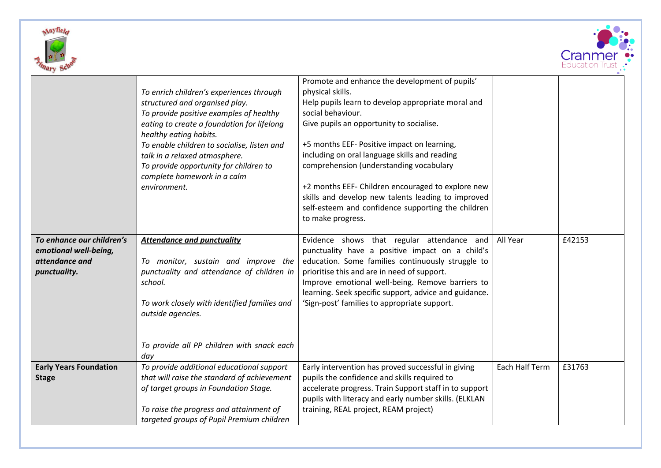



|                               |                                                                       | Promote and enhance the development of pupils'                                                                                                                                     |                |        |
|-------------------------------|-----------------------------------------------------------------------|------------------------------------------------------------------------------------------------------------------------------------------------------------------------------------|----------------|--------|
|                               | To enrich children's experiences through                              | physical skills.                                                                                                                                                                   |                |        |
|                               | structured and organised play.                                        | Help pupils learn to develop appropriate moral and                                                                                                                                 |                |        |
|                               | To provide positive examples of healthy                               | social behaviour.                                                                                                                                                                  |                |        |
|                               | eating to create a foundation for lifelong<br>healthy eating habits.  | Give pupils an opportunity to socialise.                                                                                                                                           |                |        |
|                               | To enable children to socialise, listen and                           | +5 months EEF- Positive impact on learning,                                                                                                                                        |                |        |
|                               | talk in a relaxed atmosphere.                                         | including on oral language skills and reading                                                                                                                                      |                |        |
|                               | To provide opportunity for children to<br>complete homework in a calm | comprehension (understanding vocabulary                                                                                                                                            |                |        |
|                               | environment.                                                          | +2 months EEF- Children encouraged to explore new<br>skills and develop new talents leading to improved<br>self-esteem and confidence supporting the children<br>to make progress. |                |        |
| To enhance our children's     | <b>Attendance and punctuality</b>                                     | Evidence shows that regular attendance and                                                                                                                                         | All Year       | £42153 |
| emotional well-being,         |                                                                       | punctuality have a positive impact on a child's                                                                                                                                    |                |        |
| attendance and                | To monitor, sustain and improve the                                   | education. Some families continuously struggle to                                                                                                                                  |                |        |
| punctuality.                  | punctuality and attendance of children in                             | prioritise this and are in need of support.                                                                                                                                        |                |        |
|                               | school.                                                               | Improve emotional well-being. Remove barriers to                                                                                                                                   |                |        |
|                               |                                                                       | learning. Seek specific support, advice and guidance.                                                                                                                              |                |        |
|                               | To work closely with identified families and                          | 'Sign-post' families to appropriate support.                                                                                                                                       |                |        |
|                               | outside agencies.                                                     |                                                                                                                                                                                    |                |        |
|                               |                                                                       |                                                                                                                                                                                    |                |        |
|                               |                                                                       |                                                                                                                                                                                    |                |        |
|                               | To provide all PP children with snack each                            |                                                                                                                                                                                    |                |        |
| <b>Early Years Foundation</b> | day<br>To provide additional educational support                      | Early intervention has proved successful in giving                                                                                                                                 | Each Half Term | £31763 |
| <b>Stage</b>                  | that will raise the standard of achievement                           | pupils the confidence and skills required to                                                                                                                                       |                |        |
|                               | of target groups in Foundation Stage.                                 | accelerate progress. Train Support staff in to support                                                                                                                             |                |        |
|                               |                                                                       | pupils with literacy and early number skills. (ELKLAN                                                                                                                              |                |        |
|                               | To raise the progress and attainment of                               | training, REAL project, REAM project)                                                                                                                                              |                |        |
|                               | targeted groups of Pupil Premium children                             |                                                                                                                                                                                    |                |        |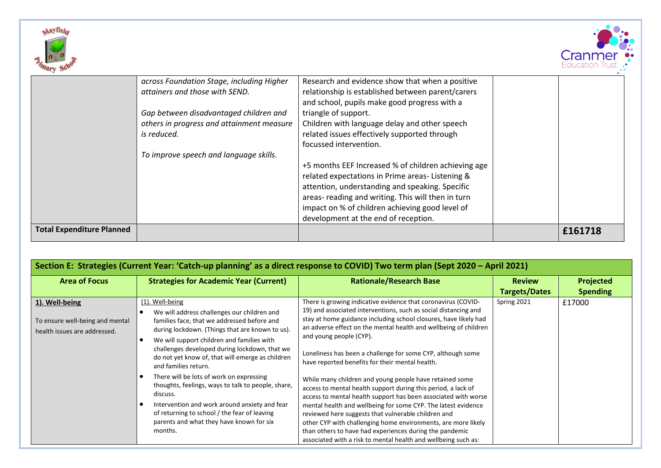



|                                  | across Foundation Stage, including Higher | Research and evidence show that when a positive     |         |
|----------------------------------|-------------------------------------------|-----------------------------------------------------|---------|
|                                  | attainers and those with SEND.            | relationship is established between parent/carers   |         |
|                                  |                                           | and school, pupils make good progress with a        |         |
|                                  | Gap between disadvantaged children and    | triangle of support.                                |         |
|                                  | others in progress and attainment measure | Children with language delay and other speech       |         |
|                                  | is reduced.                               | related issues effectively supported through        |         |
|                                  |                                           | focussed intervention.                              |         |
|                                  | To improve speech and language skills.    |                                                     |         |
|                                  |                                           | +5 months EEF Increased % of children achieving age |         |
|                                  |                                           | related expectations in Prime areas-Listening &     |         |
|                                  |                                           | attention, understanding and speaking. Specific     |         |
|                                  |                                           | areas- reading and writing. This will then in turn  |         |
|                                  |                                           | impact on % of children achieving good level of     |         |
|                                  |                                           | development at the end of reception.                |         |
| <b>Total Expenditure Planned</b> |                                           |                                                     | £161718 |
|                                  |                                           |                                                     |         |

| Section E: Strategies (Current Year: 'Catch-up planning' as a direct response to COVID) Two term plan (Sept 2020 - April 2021) |                                                                                                                                                                                                                                                                                                                                             |                                                                                                                                                                                                                                                                                                                                                                                                                                                                                                                  |                                       |                              |
|--------------------------------------------------------------------------------------------------------------------------------|---------------------------------------------------------------------------------------------------------------------------------------------------------------------------------------------------------------------------------------------------------------------------------------------------------------------------------------------|------------------------------------------------------------------------------------------------------------------------------------------------------------------------------------------------------------------------------------------------------------------------------------------------------------------------------------------------------------------------------------------------------------------------------------------------------------------------------------------------------------------|---------------------------------------|------------------------------|
| <b>Area of Focus</b>                                                                                                           | <b>Strategies for Academic Year (Current)</b>                                                                                                                                                                                                                                                                                               | <b>Rationale/Research Base</b>                                                                                                                                                                                                                                                                                                                                                                                                                                                                                   | <b>Review</b><br><b>Targets/Dates</b> | Projected<br><b>Spending</b> |
| 1). Well-being<br>To ensure well-being and mental<br>health issues are addressed.                                              | (1). Well-being<br>We will address challenges our children and<br>families face, that we addressed before and<br>during lockdown. (Things that are known to us).<br>We will support children and families with<br>challenges developed during lockdown, that we<br>do not yet know of, that will emerge as children<br>and families return. | There is growing indicative evidence that coronavirus (COVID-<br>19) and associated interventions, such as social distancing and<br>stay at home guidance including school closures, have likely had<br>an adverse effect on the mental health and wellbeing of children<br>and young people (CYP).<br>Loneliness has been a challenge for some CYP, although some<br>have reported benefits for their mental health.                                                                                            | Spring 2021                           | £17000                       |
|                                                                                                                                | There will be lots of work on expressing<br>thoughts, feelings, ways to talk to people, share,<br>discuss.<br>Intervention and work around anxiety and fear<br>of returning to school / the fear of leaving<br>parents and what they have known for six<br>months.                                                                          | While many children and young people have retained some<br>access to mental health support during this period, a lack of<br>access to mental health support has been associated with worse<br>mental health and wellbeing for some CYP. The latest evidence<br>reviewed here suggests that vulnerable children and<br>other CYP with challenging home environments, are more likely<br>than others to have had experiences during the pandemic<br>associated with a risk to mental health and wellbeing such as: |                                       |                              |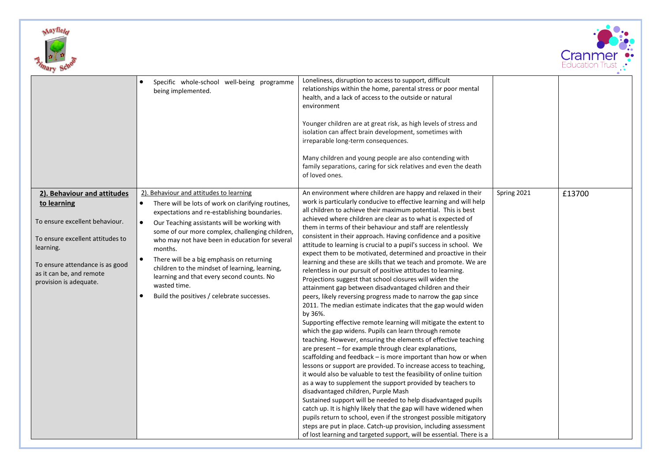



|                                                                                                                                                                                                                        | Specific whole-school well-being programme<br>being implemented.                                                                                                                                                                                                                                                                                                                                                                                                                                                                                  | Loneliness, disruption to access to support, difficult<br>relationships within the home, parental stress or poor mental<br>health, and a lack of access to the outside or natural<br>environment<br>Younger children are at great risk, as high levels of stress and<br>isolation can affect brain development, sometimes with<br>irreparable long-term consequences.<br>Many children and young people are also contending with<br>family separations, caring for sick relatives and even the death<br>of loved ones.                                                                                                                                                                                                                                                                                                                                                                                                                                                                                                                                                                                                                                                                                                                                                                                                                                                                                                                                                                                                                                                                                                                                                                                                                                                                                                                                                            |             |        |
|------------------------------------------------------------------------------------------------------------------------------------------------------------------------------------------------------------------------|---------------------------------------------------------------------------------------------------------------------------------------------------------------------------------------------------------------------------------------------------------------------------------------------------------------------------------------------------------------------------------------------------------------------------------------------------------------------------------------------------------------------------------------------------|-----------------------------------------------------------------------------------------------------------------------------------------------------------------------------------------------------------------------------------------------------------------------------------------------------------------------------------------------------------------------------------------------------------------------------------------------------------------------------------------------------------------------------------------------------------------------------------------------------------------------------------------------------------------------------------------------------------------------------------------------------------------------------------------------------------------------------------------------------------------------------------------------------------------------------------------------------------------------------------------------------------------------------------------------------------------------------------------------------------------------------------------------------------------------------------------------------------------------------------------------------------------------------------------------------------------------------------------------------------------------------------------------------------------------------------------------------------------------------------------------------------------------------------------------------------------------------------------------------------------------------------------------------------------------------------------------------------------------------------------------------------------------------------------------------------------------------------------------------------------------------------|-------------|--------|
| 2). Behaviour and attitudes<br>to learning<br>To ensure excellent behaviour.<br>To ensure excellent attitudes to<br>learning.<br>To ensure attendance is as good<br>as it can be, and remote<br>provision is adequate. | 2). Behaviour and attitudes to learning<br>There will be lots of work on clarifying routines,<br>$\bullet$<br>expectations and re-establishing boundaries.<br>Our Teaching assistants will be working with<br>$\bullet$<br>some of our more complex, challenging children,<br>who may not have been in education for several<br>months.<br>There will be a big emphasis on returning<br>children to the mindset of learning, learning,<br>learning and that every second counts. No<br>wasted time.<br>Build the positives / celebrate successes. | An environment where children are happy and relaxed in their<br>work is particularly conducive to effective learning and will help<br>all children to achieve their maximum potential. This is best<br>achieved where children are clear as to what is expected of<br>them in terms of their behaviour and staff are relentlessly<br>consistent in their approach. Having confidence and a positive<br>attitude to learning is crucial to a pupil's success in school. We<br>expect them to be motivated, determined and proactive in their<br>learning and these are skills that we teach and promote. We are<br>relentless in our pursuit of positive attitudes to learning.<br>Projections suggest that school closures will widen the<br>attainment gap between disadvantaged children and their<br>peers, likely reversing progress made to narrow the gap since<br>2011. The median estimate indicates that the gap would widen<br>by 36%.<br>Supporting effective remote learning will mitigate the extent to<br>which the gap widens. Pupils can learn through remote<br>teaching. However, ensuring the elements of effective teaching<br>are present - for example through clear explanations,<br>scaffolding and feedback - is more important than how or when<br>lessons or support are provided. To increase access to teaching,<br>it would also be valuable to test the feasibility of online tuition<br>as a way to supplement the support provided by teachers to<br>disadvantaged children, Purple Mash<br>Sustained support will be needed to help disadvantaged pupils<br>catch up. It is highly likely that the gap will have widened when<br>pupils return to school, even if the strongest possible mitigatory<br>steps are put in place. Catch-up provision, including assessment<br>of lost learning and targeted support, will be essential. There is a | Spring 2021 | £13700 |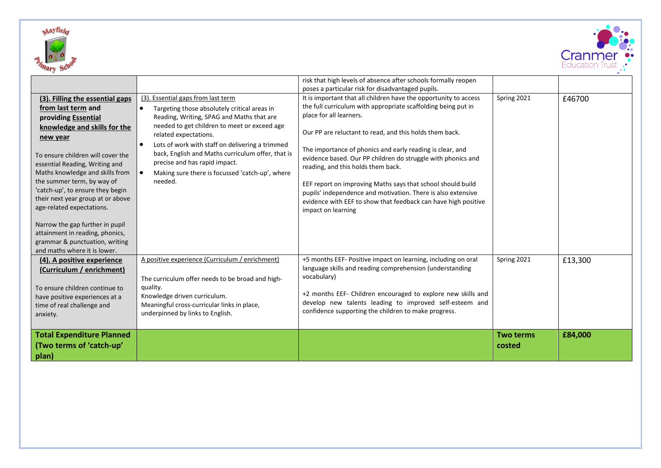



|                                                                                                                                                                                                                                                                                                                                                                                                                                                                                                                |                                                                                                                                                                                                                                                                                                                                                                                                                 | risk that high levels of absence after schools formally reopen<br>poses a particular risk for disadvantaged pupils.                                                                                                                                                                                                                                                                                                                                                                                                                                                                                               |                            |         |
|----------------------------------------------------------------------------------------------------------------------------------------------------------------------------------------------------------------------------------------------------------------------------------------------------------------------------------------------------------------------------------------------------------------------------------------------------------------------------------------------------------------|-----------------------------------------------------------------------------------------------------------------------------------------------------------------------------------------------------------------------------------------------------------------------------------------------------------------------------------------------------------------------------------------------------------------|-------------------------------------------------------------------------------------------------------------------------------------------------------------------------------------------------------------------------------------------------------------------------------------------------------------------------------------------------------------------------------------------------------------------------------------------------------------------------------------------------------------------------------------------------------------------------------------------------------------------|----------------------------|---------|
| (3). Filling the essential gaps<br>from last term and<br>providing Essential<br>knowledge and skills for the<br>new year<br>To ensure children will cover the<br>essential Reading, Writing and<br>Maths knowledge and skills from<br>the summer term, by way of<br>'catch-up', to ensure they begin<br>their next year group at or above<br>age-related expectations.<br>Narrow the gap further in pupil<br>attainment in reading, phonics,<br>grammar & punctuation, writing<br>and maths where it is lower. | (3). Essential gaps from last term<br>Targeting those absolutely critical areas in<br>Reading, Writing, SPAG and Maths that are<br>needed to get children to meet or exceed age<br>related expectations.<br>Lots of work with staff on delivering a trimmed<br>back, English and Maths curriculum offer, that is<br>precise and has rapid impact.<br>Making sure there is focussed 'catch-up', where<br>needed. | It is important that all children have the opportunity to access<br>the full curriculum with appropriate scaffolding being put in<br>place for all learners.<br>Our PP are reluctant to read, and this holds them back.<br>The importance of phonics and early reading is clear, and<br>evidence based. Our PP children do struggle with phonics and<br>reading, and this holds them back.<br>EEF report on improving Maths says that school should build<br>pupils' independence and motivation. There is also extensive<br>evidence with EEF to show that feedback can have high positive<br>impact on learning | Spring 2021                | £46700  |
| (4). A positive experience<br>(Curriculum / enrichment)<br>To ensure children continue to<br>have positive experiences at a<br>time of real challenge and<br>anxiety.                                                                                                                                                                                                                                                                                                                                          | A positive experience (Curriculum / enrichment)<br>The curriculum offer needs to be broad and high-<br>quality.<br>Knowledge driven curriculum.<br>Meaningful cross-curricular links in place,<br>underpinned by links to English.                                                                                                                                                                              | +5 months EEF- Positive impact on learning, including on oral<br>language skills and reading comprehension (understanding<br>vocabulary)<br>+2 months EEF- Children encouraged to explore new skills and<br>develop new talents leading to improved self-esteem and<br>confidence supporting the children to make progress.                                                                                                                                                                                                                                                                                       | Spring 2021                | £13,300 |
| <b>Total Expenditure Planned</b><br>(Two terms of 'catch-up'<br>plan)                                                                                                                                                                                                                                                                                                                                                                                                                                          |                                                                                                                                                                                                                                                                                                                                                                                                                 |                                                                                                                                                                                                                                                                                                                                                                                                                                                                                                                                                                                                                   | <b>Two terms</b><br>costed | £84,000 |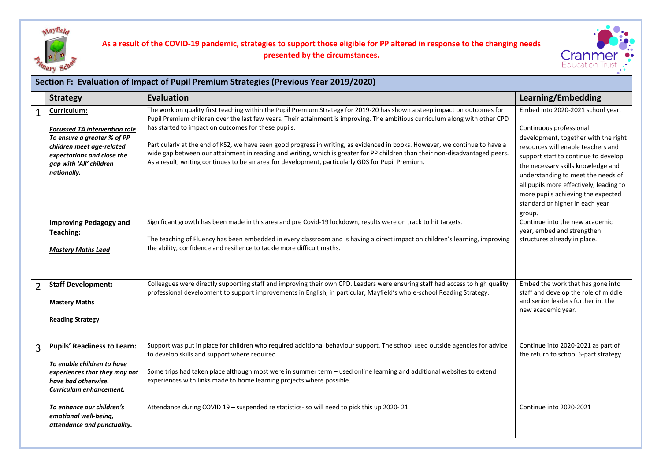

## **As a result of the COVID-19 pandemic, strategies to support those eligible for PP altered in response to the changing needs presented by the circumstances.**



| Section F: Evaluation of Impact of Pupil Premium Strategies (Previous Year 2019/2020) |                                                                                                                                                                                                                                                                                                                                                                                                                                                                                                                                       |                                                                                                                                                                                                                                                                                                                                                                                                                                                                                                                                                                                                                                                                                       |                                                                                                                                                                                                                                                                                                                                                                                              |  |  |  |  |
|---------------------------------------------------------------------------------------|---------------------------------------------------------------------------------------------------------------------------------------------------------------------------------------------------------------------------------------------------------------------------------------------------------------------------------------------------------------------------------------------------------------------------------------------------------------------------------------------------------------------------------------|---------------------------------------------------------------------------------------------------------------------------------------------------------------------------------------------------------------------------------------------------------------------------------------------------------------------------------------------------------------------------------------------------------------------------------------------------------------------------------------------------------------------------------------------------------------------------------------------------------------------------------------------------------------------------------------|----------------------------------------------------------------------------------------------------------------------------------------------------------------------------------------------------------------------------------------------------------------------------------------------------------------------------------------------------------------------------------------------|--|--|--|--|
|                                                                                       | <b>Strategy</b>                                                                                                                                                                                                                                                                                                                                                                                                                                                                                                                       | <b>Evaluation</b>                                                                                                                                                                                                                                                                                                                                                                                                                                                                                                                                                                                                                                                                     | Learning/Embedding                                                                                                                                                                                                                                                                                                                                                                           |  |  |  |  |
| $\mathbf 1$                                                                           | Curriculum:<br><b>Focussed TA intervention role</b><br>To ensure a greater % of PP<br>children meet age-related<br>expectations and close the<br>gap with 'All' children<br>nationally.                                                                                                                                                                                                                                                                                                                                               | The work on quality first teaching within the Pupil Premium Strategy for 2019-20 has shown a steep impact on outcomes for<br>Pupil Premium children over the last few years. Their attainment is improving. The ambitious curriculum along with other CPD<br>has started to impact on outcomes for these pupils.<br>Particularly at the end of KS2, we have seen good progress in writing, as evidenced in books. However, we continue to have a<br>wide gap between our attainment in reading and writing, which is greater for PP children than their non-disadvantaged peers.<br>As a result, writing continues to be an area for development, particularly GDS for Pupil Premium. | Embed into 2020-2021 school year.<br>Continuous professional<br>development, together with the right<br>resources will enable teachers and<br>support staff to continue to develop<br>the necessary skills knowledge and<br>understanding to meet the needs of<br>all pupils more effectively, leading to<br>more pupils achieving the expected<br>standard or higher in each year<br>group. |  |  |  |  |
|                                                                                       | <b>Improving Pedagogy and</b><br>Teaching:<br>Mastery Maths Lead                                                                                                                                                                                                                                                                                                                                                                                                                                                                      | Significant growth has been made in this area and pre Covid-19 lockdown, results were on track to hit targets.<br>The teaching of Fluency has been embedded in every classroom and is having a direct impact on children's learning, improving<br>the ability, confidence and resilience to tackle more difficult maths.                                                                                                                                                                                                                                                                                                                                                              | Continue into the new academic<br>year, embed and strengthen<br>structures already in place.                                                                                                                                                                                                                                                                                                 |  |  |  |  |
| 2                                                                                     | <b>Staff Development:</b><br><b>Mastery Maths</b><br><b>Reading Strategy</b>                                                                                                                                                                                                                                                                                                                                                                                                                                                          | Colleagues were directly supporting staff and improving their own CPD. Leaders were ensuring staff had access to high quality<br>professional development to support improvements in English, in particular, Mayfield's whole-school Reading Strategy.                                                                                                                                                                                                                                                                                                                                                                                                                                | Embed the work that has gone into<br>staff and develop the role of middle<br>and senior leaders further int the<br>new academic year.                                                                                                                                                                                                                                                        |  |  |  |  |
| 3                                                                                     | Support was put in place for children who required additional behaviour support. The school used outside agencies for advice<br><b>Pupils' Readiness to Learn:</b><br>to develop skills and support where required<br>To enable children to have<br>Some trips had taken place although most were in summer term - used online learning and additional websites to extend<br>experiences that they may not<br>experiences with links made to home learning projects where possible.<br>have had otherwise.<br>Curriculum enhancement. |                                                                                                                                                                                                                                                                                                                                                                                                                                                                                                                                                                                                                                                                                       | Continue into 2020-2021 as part of<br>the return to school 6-part strategy.                                                                                                                                                                                                                                                                                                                  |  |  |  |  |
|                                                                                       | To enhance our children's<br>emotional well-being,<br>attendance and punctuality.                                                                                                                                                                                                                                                                                                                                                                                                                                                     | Attendance during COVID 19 - suspended re statistics- so will need to pick this up 2020-21                                                                                                                                                                                                                                                                                                                                                                                                                                                                                                                                                                                            | Continue into 2020-2021                                                                                                                                                                                                                                                                                                                                                                      |  |  |  |  |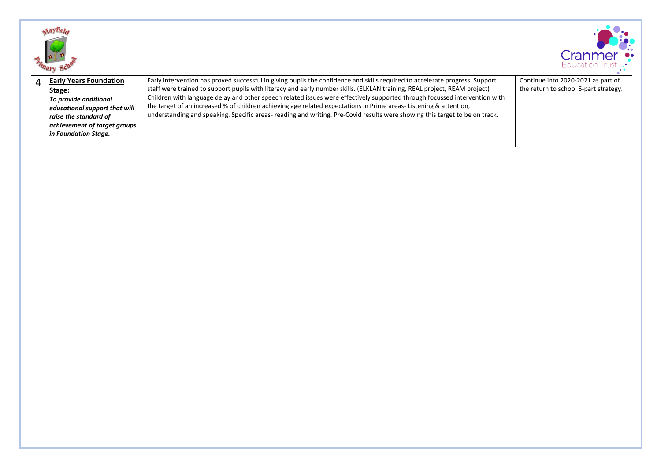



| <b>Early Years Foundation</b><br>Stage:<br>To provide additional                                               | Early intervention has proved successful in giving pupils the confidence and skills required to accelerate progress. Support<br>staff were trained to support pupils with literacy and early number skills. (ELKLAN training, REAL project, REAM project)<br>Children with language delay and other speech related issues were effectively supported through focussed intervention with | Continue into 2020-2021 as part of<br>the return to school 6-part strategy. |
|----------------------------------------------------------------------------------------------------------------|-----------------------------------------------------------------------------------------------------------------------------------------------------------------------------------------------------------------------------------------------------------------------------------------------------------------------------------------------------------------------------------------|-----------------------------------------------------------------------------|
| educational support that will<br>raise the standard of<br>achievement of target groups<br>in Foundation Stage. | the target of an increased % of children achieving age related expectations in Prime areas-Listening & attention,<br>understanding and speaking. Specific areas-reading and writing. Pre-Covid results were showing this target to be on track.                                                                                                                                         |                                                                             |